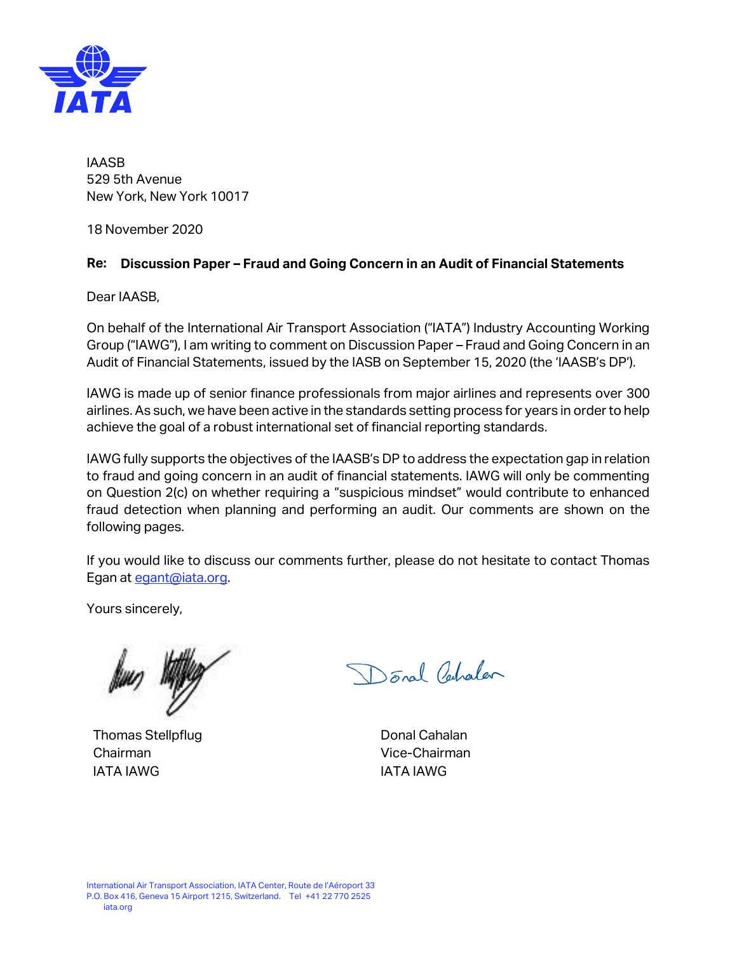

IAASB 529 5th Avenue New York, New York 10017

18 November 2020

## **Re: Discussion Paper – Fraud and Going Concern in an Audit of Financial Statements**

Dear IAASB,

On behalf of the International Air Transport Association ("IATA") Industry Accounting Working Group ("IAWG"), I am writing to comment on Discussion Paper – Fraud and Going Concern in an Audit of Financial Statements, issued by the IASB on September 15, 2020 (the 'IAASB's DP').

IAWG is made up of senior finance professionals from major airlines and represents over 300 airlines. As such, we have been active in the standards setting process for years in order to help achieve the goal of a robust international set of financial reporting standards.

IAWG fully supports the objectives of the IAASB's DP to address the expectation gap in relation to fraud and going concern in an audit of financial statements. IAWG will only be commenting on Question 2(c) on whether requiring a "suspicious mindset" would contribute to enhanced fraud detection when planning and performing an audit. Our comments are shown on the following pages.

If you would like to discuss our comments further, please do not hesitate to contact Thomas Egan at [egant@iata.org.](mailto:egant@iata.org)

Yours sincerely,

Thomas Stellpflug Chairman IATA IAWG

Donal Perhalan

Donal Cahalan Vice-Chairman IATA IAWG